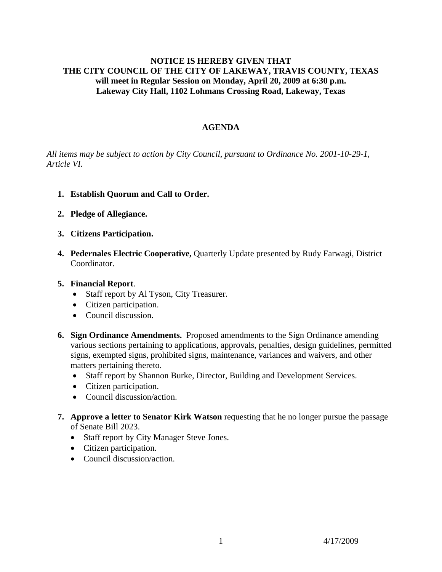## **NOTICE IS HEREBY GIVEN THAT THE CITY COUNCIL OF THE CITY OF LAKEWAY, TRAVIS COUNTY, TEXAS will meet in Regular Session on Monday, April 20, 2009 at 6:30 p.m. Lakeway City Hall, 1102 Lohmans Crossing Road, Lakeway, Texas**

## **AGENDA**

*All items may be subject to action by City Council, pursuant to Ordinance No. 2001-10-29-1, Article VI.* 

- **1. Establish Quorum and Call to Order.**
- **2. Pledge of Allegiance.**
- **3. Citizens Participation.**
- **4. Pedernales Electric Cooperative,** Quarterly Update presented by Rudy Farwagi, District Coordinator.
- **5. Financial Report**.
	- Staff report by Al Tyson, City Treasurer.
	- Citizen participation.
	- Council discussion.
- **6. Sign Ordinance Amendments.** Proposed amendments to the Sign Ordinance amending various sections pertaining to applications, approvals, penalties, design guidelines, permitted signs, exempted signs, prohibited signs, maintenance, variances and waivers, and other matters pertaining thereto.
	- Staff report by Shannon Burke, Director, Building and Development Services.
	- Citizen participation.
	- Council discussion/action.
- **7. Approve a letter to Senator Kirk Watson** requesting that he no longer pursue the passage of Senate Bill 2023.
	- Staff report by City Manager Steve Jones.
	- Citizen participation.
	- Council discussion/action.